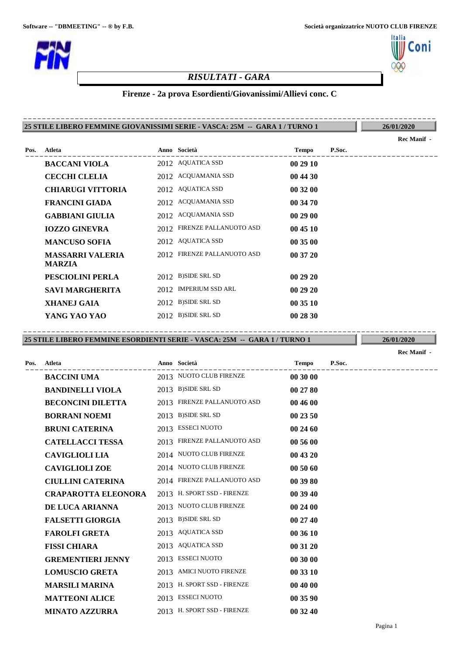

# *RISULTATI - GARA*

### **Firenze - 2a prova Esordienti/Giovanissimi/Allievi conc. C**

#### **25 STILE LIBERO FEMMINE GIOVANISSIMI SERIE - VASCA: 25M -- GARA 1 / TURNO 1** ----------------------------------------------------------------------------------------

**26/01/2020**

:oni

|                          |               |                                                                                                                                                                                                                                                                                                           |        | Rec Manif - |
|--------------------------|---------------|-----------------------------------------------------------------------------------------------------------------------------------------------------------------------------------------------------------------------------------------------------------------------------------------------------------|--------|-------------|
| Atleta                   |               | <b>Tempo</b>                                                                                                                                                                                                                                                                                              | P.Soc. |             |
| <b>BACCANI VIOLA</b>     |               | 00 29 10                                                                                                                                                                                                                                                                                                  |        |             |
| <b>CECCHI CLELIA</b>     |               | 00 44 30                                                                                                                                                                                                                                                                                                  |        |             |
| <b>CHIARUGI VITTORIA</b> |               | 00 32 00                                                                                                                                                                                                                                                                                                  |        |             |
| <b>FRANCINI GIADA</b>    |               | 00 34 70                                                                                                                                                                                                                                                                                                  |        |             |
| <b>GABBIANI GIULIA</b>   |               | 00 29 00                                                                                                                                                                                                                                                                                                  |        |             |
| <b>IOZZO GINEVRA</b>     |               | 00 45 10                                                                                                                                                                                                                                                                                                  |        |             |
| <b>MANCUSO SOFIA</b>     |               | 00 35 00                                                                                                                                                                                                                                                                                                  |        |             |
| <b>MASSARRI VALERIA</b>  |               | 00 37 20                                                                                                                                                                                                                                                                                                  |        |             |
| PESCIOLINI PERLA         |               | 00 29 20                                                                                                                                                                                                                                                                                                  |        |             |
| <b>SAVI MARGHERITA</b>   |               | 00 29 20                                                                                                                                                                                                                                                                                                  |        |             |
| <b>XHANEJ GAIA</b>       |               | 00 35 10                                                                                                                                                                                                                                                                                                  |        |             |
| YANG YAO YAO             |               | 00 28 30                                                                                                                                                                                                                                                                                                  |        |             |
|                          | <b>MARZIA</b> | Anno Società<br>2012 AQUATICA SSD<br>2012 ACQUAMANIA SSD<br>2012 AQUATICA SSD<br>2012 ACQUAMANIA SSD<br>2012 ACQUAMANIA SSD<br>2012 FIRENZE PALLANUOTO ASD<br>2012 AQUATICA SSD<br>2012 FIRENZE PALLANUOTO ASD<br>2012 B)SIDE SRL SD<br>2012 IMPERIUM SSD ARL<br>2012 B)SIDE SRL SD<br>2012 B)SIDE SRL SD |        |             |

**25 STILE LIBERO FEMMINE ESORDIENTI SERIE - VASCA: 25M -- GARA 1 / TURNO 1** ----------------------------------------------------------------------------------------

**26/01/2020 Rec Manif -** 

| Pos. | Atleta                     | Anno Società                | Tempo    | P.Soc. |
|------|----------------------------|-----------------------------|----------|--------|
|      | <b>BACCINI UMA</b>         | 2013 NUOTO CLUB FIRENZE     | 00 30 00 |        |
|      | <b>BANDINELLI VIOLA</b>    | 2013 B)SIDE SRL SD          | 00 27 80 |        |
|      | <b>BECONCINI DILETTA</b>   | 2013 FIRENZE PALLANUOTO ASD | 00 46 00 |        |
|      | <b>BORRANI NOEMI</b>       | 2013 B)SIDE SRL SD          | 00 23 50 |        |
|      | <b>BRUNI CATERINA</b>      | 2013 ESSECI NUOTO           | 00 24 60 |        |
|      | <b>CATELLACCI TESSA</b>    | 2013 FIRENZE PALLANUOTO ASD | 00 56 00 |        |
|      | <b>CAVIGLIOLI LIA</b>      | 2014 NUOTO CLUB FIRENZE     | 00 43 20 |        |
|      | <b>CAVIGLIOLI ZOE</b>      | 2014 NUOTO CLUB FIRENZE     | 00 50 60 |        |
|      | <b>CIULLINI CATERINA</b>   | 2014 FIRENZE PALLANUOTO ASD | 00 39 80 |        |
|      | <b>CRAPAROTTA ELEONORA</b> | 2013 H. SPORT SSD - FIRENZE | 00 39 40 |        |
|      | DE LUCA ARIANNA            | 2013 NUOTO CLUB FIRENZE     | 00 24 00 |        |
|      | <b>FALSETTI GIORGIA</b>    | 2013 B)SIDE SRL SD          | 00 27 40 |        |
|      | <b>FAROLFI GRETA</b>       | 2013 AQUATICA SSD           | 00 36 10 |        |
|      | <b>FISSI CHIARA</b>        | 2013 AQUATICA SSD           | 00 31 20 |        |
|      | <b>GREMENTIERI JENNY</b>   | 2013 ESSECI NUOTO           | 00 30 00 |        |
|      | <b>LOMUSCIO GRETA</b>      | 2013 AMICI NUOTO FIRENZE    | 00 33 10 |        |
|      | <b>MARSILI MARINA</b>      | 2013 H. SPORT SSD - FIRENZE | 00 40 00 |        |
|      | <b>MATTEONI ALICE</b>      | 2013 ESSECI NUOTO           | 00 35 90 |        |
|      | <b>MINATO AZZURRA</b>      | 2013 H. SPORT SSD - FIRENZE | 00 32 40 |        |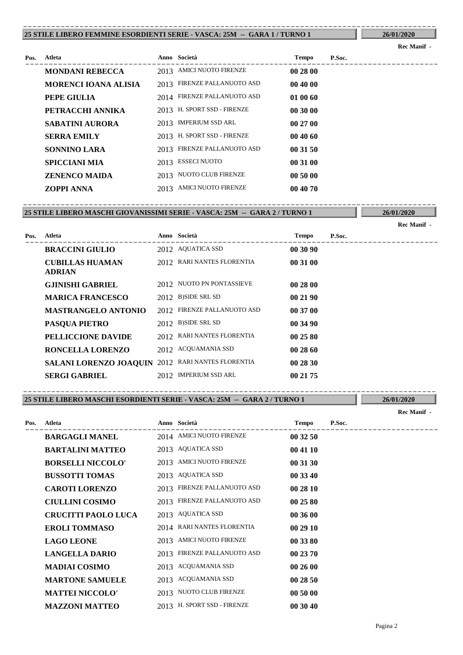#### **25 STILE LIBERO FEMMINE ESORDIENTI SERIE - VASCA: 25M -- GARA 1 / TURNO 1** ----------------------------------------------------------------------------------------

### **26/01/2020 Rec Manif -**

| Pos. | Atleta                      |      | Anno Società                | <b>Tempo</b> | P.Soc. |
|------|-----------------------------|------|-----------------------------|--------------|--------|
|      | <b>MONDANI REBECCA</b>      |      | 2013 AMICI NUOTO FIRENZE    | 00 28 00     |        |
|      | <b>MORENCI IOANA ALISIA</b> | 2013 | FIRENZE PALLANUOTO ASD      | 00 40 00     |        |
|      | PEPE GIULIA                 |      | 2014 FIRENZE PALLANUOTO ASD | 01 00 60     |        |
|      | PETRACCHI ANNIKA            | 2013 | H. SPORT SSD - FIRENZE      | 00 30 00     |        |
|      | <b>SABATINI AURORA</b>      |      | 2013 IMPERIUM SSD ARL       | 00 27 00     |        |
|      | <b>SERRA EMILY</b>          |      | 2013 H. SPORT SSD - FIRENZE | 004060       |        |
|      | <b>SONNINO LARA</b>         | 2013 | FIRENZE PALLANUOTO ASD      | 00 31 50     |        |
|      | <b>SPICCIANI MIA</b>        |      | 2013 ESSECI NUOTO           | 00 31 00     |        |
|      | <b>ZENENCO MAIDA</b>        |      | 2013 NUOTO CLUB FIRENZE     | 00 50 00     |        |
|      | ZOPPI ANNA                  |      | 2013 AMICI NUOTO FIRENZE    | 00 40 70     |        |

**25 STILE LIBERO MASCHI GIOVANISSIMI SERIE - VASCA: 25M -- GARA 2 / TURNO 1** ----------------------------------------------------------------------------------------

**26/01/2020**

|      |                                                   |                             |          |        | <b>Rec Manif -</b> |
|------|---------------------------------------------------|-----------------------------|----------|--------|--------------------|
| Pos. | Atleta                                            | Anno Società                | Tempo    | P.Soc. |                    |
|      | <b>BRACCINI GIULIO</b>                            | 2012 AQUATICA SSD           | 00 30 90 |        |                    |
|      | <b>CUBILLAS HUAMAN</b><br><b>ADRIAN</b>           | 2012 RARI NANTES FLORENTIA  | 00 31 00 |        |                    |
|      | <b>GJINISHI GABRIEL</b>                           | 2012 NUOTO PN PONTASSIEVE   | 00 28 00 |        |                    |
|      | <b>MARICA FRANCESCO</b>                           | 2012 B)SIDE SRL SD          | 00 21 90 |        |                    |
|      | <b>MASTRANGELO ANTONIO</b>                        | 2012 FIRENZE PALLANUOTO ASD | 00 37 00 |        |                    |
|      | <b>PASQUA PIETRO</b>                              | 2012 B)SIDE SRL SD          | 00 34 90 |        |                    |
|      | PELLICCIONE DAVIDE                                | 2012 RARI NANTES FLORENTIA  | 00 25 80 |        |                    |
|      | RONCELLA LORENZO                                  | 2012 ACQUAMANIA SSD         | 00 28 60 |        |                    |
|      | SALANI LORENZO JOAQUIN 2012 RARI NANTES FLORENTIA |                             | 00 28 30 |        |                    |
|      | <b>SERGI GABRIEL</b>                              | 2012 IMPERIUM SSD ARL       | 00 21 75 |        |                    |

**25 STILE LIBERO MASCHI ESORDIENTI SERIE - VASCA: 25M -- GARA 2 / TURNO 1** ----------------------------------------------------------------------------------------

**Rec Manif -** 

| Pos. | Atleta                     |      | Anno Società                | <b>Tempo</b> | P.Soc. |
|------|----------------------------|------|-----------------------------|--------------|--------|
|      | <b>BARGAGLI MANEL</b>      |      | 2014 AMICI NUOTO FIRENZE    | 00 32 50     |        |
|      | <b>BARTALINI MATTEO</b>    |      | 2013 AQUATICA SSD           | 00 41 10     |        |
|      | <b>BORSELLI NICCOLO'</b>   |      | 2013 AMICI NUOTO FIRENZE    | 00 31 30     |        |
|      | <b>BUSSOTTI TOMAS</b>      |      | 2013 AQUATICA SSD           | 00 33 40     |        |
|      | <b>CAROTI LORENZO</b>      |      | 2013 FIRENZE PALLANUOTO ASD | 00 28 10     |        |
|      | <b>CIULLINI COSIMO</b>     | 2013 | FIRENZE PALLANUOTO ASD      | 00 25 80     |        |
|      | <b>CRUCITTI PAOLO LUCA</b> |      | 2013 AQUATICA SSD           | 00 36 00     |        |
|      | <b>EROLI TOMMASO</b>       |      | 2014 RARI NANTES FLORENTIA  | 00 29 10     |        |
|      | <b>LAGO LEONE</b>          |      | 2013 AMICI NUOTO FIRENZE    | 00 33 80     |        |
|      | <b>LANGELLA DARIO</b>      | 2013 | FIRENZE PALLANUOTO ASD      | 00 23 70     |        |
|      | <b>MADIAI COSIMO</b>       |      | 2013 ACQUAMANIA SSD         | 00 26 00     |        |
|      | <b>MARTONE SAMUELE</b>     |      | 2013 ACQUAMANIA SSD         | 00 28 50     |        |
|      | <b>MATTEI NICCOLO'</b>     |      | 2013 NUOTO CLUB FIRENZE     | 00 50 00     |        |
|      | <b>MAZZONI MATTEO</b>      |      | 2013 H. SPORT SSD - FIRENZE | 00 30 40     |        |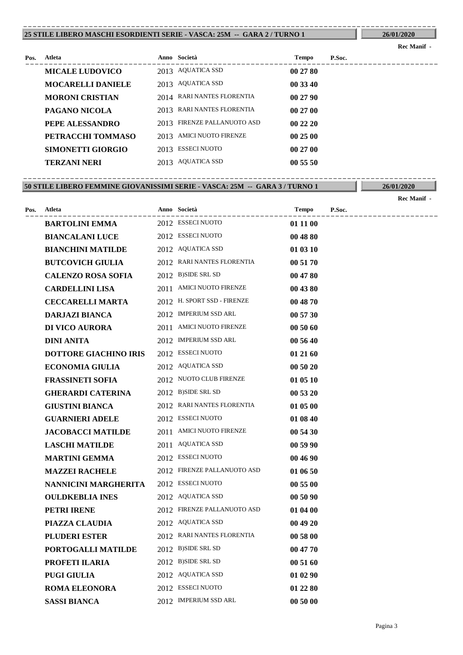#### **25 STILE LIBERO MASCHI ESORDIENTI SERIE - VASCA: 25M -- GARA 2 / TURNO 1** ----------------------------------------------------------------------------------------

## **26/01/2020 Rec Manif -**

| Pos. | Atleta                   |      | Anno Società                  | <b>Tempo</b> | P.Soc. |
|------|--------------------------|------|-------------------------------|--------------|--------|
|      | <b>MICALE LUDOVICO</b>   |      | 2013 AQUATICA SSD             | 00 27 80     |        |
|      | <b>MOCARELLI DANIELE</b> |      | 2013 AQUATICA SSD             | 00 33 40     |        |
|      | <b>MORONI CRISTIAN</b>   |      | 2014 RARI NANTES FLORENTIA    | 002790       |        |
|      | PAGANO NICOLA            | 2013 | RARI NANTES FLORENTIA         | 00 27 00     |        |
|      | PEPE ALESSANDRO          | 2013 | <b>FIRENZE PALLANUOTO ASD</b> | 002220       |        |
|      | PETRACCHI TOMMASO        |      | 2013 AMICI NUOTO FIRENZE      | 002500       |        |
|      | SIMONETTI GIORGIO        | 2013 | <b>ESSECI NUOTO</b>           | 00 27 00     |        |
|      | <b>TERZANI NERI</b>      |      | 2013 AQUATICA SSD             | 00 55 50     |        |

**50 STILE LIBERO FEMMINE GIOVANISSIMI SERIE - VASCA: 25M -- GARA 3 / TURNO 1 26/01/2020** ----------------------------------------------------------------------------------------

|      |                              |                             |          |        | Rec Manif - |
|------|------------------------------|-----------------------------|----------|--------|-------------|
| Pos. | Atleta                       | Anno Società                | Tempo    | P.Soc. |             |
|      | <b>BARTOLINI EMMA</b>        | 2012 ESSECI NUOTO           | 01 11 00 |        |             |
|      | <b>BIANCALANI LUCE</b>       | 2012 ESSECI NUOTO           | 00 48 80 |        |             |
|      | <b>BIANCHINI MATILDE</b>     | 2012 AQUATICA SSD           | 01 03 10 |        |             |
|      | <b>BUTCOVICH GIULIA</b>      | 2012 RARI NANTES FLORENTIA  | 00 51 70 |        |             |
|      | <b>CALENZO ROSA SOFIA</b>    | 2012 B)SIDE SRL SD          | 00 47 80 |        |             |
|      | <b>CARDELLINI LISA</b>       | 2011 AMICI NUOTO FIRENZE    | 00 43 80 |        |             |
|      | <b>CECCARELLI MARTA</b>      | 2012 H. SPORT SSD - FIRENZE | 00 48 70 |        |             |
|      | <b>DARJAZI BIANCA</b>        | 2012 IMPERIUM SSD ARL       | 00 57 30 |        |             |
|      | <b>DI VICO AURORA</b>        | 2011 AMICI NUOTO FIRENZE    | 00 50 60 |        |             |
|      | <b>DINI ANITA</b>            | 2012 IMPERIUM SSD ARL       | 00 56 40 |        |             |
|      | <b>DOTTORE GIACHINO IRIS</b> | 2012 ESSECI NUOTO           | 01 21 60 |        |             |
|      | <b>ECONOMIA GIULIA</b>       | 2012 AQUATICA SSD           | 00 50 20 |        |             |
|      | <b>FRASSINETI SOFIA</b>      | 2012 NUOTO CLUB FIRENZE     | 01 05 10 |        |             |
|      | <b>GHERARDI CATERINA</b>     | 2012 B)SIDE SRL SD          | 00 53 20 |        |             |
|      | <b>GIUSTINI BIANCA</b>       | 2012 RARI NANTES FLORENTIA  | 01 05 00 |        |             |
|      | <b>GUARNIERI ADELE</b>       | 2012 ESSECI NUOTO           | 01 08 40 |        |             |
|      | <b>JACOBACCI MATILDE</b>     | 2011 AMICI NUOTO FIRENZE    | 00 54 30 |        |             |
|      | <b>LASCHI MATILDE</b>        | 2011 AQUATICA SSD           | 00 59 90 |        |             |
|      | <b>MARTINI GEMMA</b>         | 2012 ESSECI NUOTO           | 00 46 90 |        |             |
|      | <b>MAZZEI RACHELE</b>        | 2012 FIRENZE PALLANUOTO ASD | 01 06 50 |        |             |
|      | NANNICINI MARGHERITA         | 2012 ESSECI NUOTO           | 00 55 00 |        |             |
|      | <b>OULDKEBLIA INES</b>       | 2012 AQUATICA SSD           | 00 50 90 |        |             |
|      | PETRI IRENE                  | 2012 FIRENZE PALLANUOTO ASD | 01 04 00 |        |             |
|      | PIAZZA CLAUDIA               | 2012 AQUATICA SSD           | 00 49 20 |        |             |
|      | PLUDERI ESTER                | 2012 RARI NANTES FLORENTIA  | 00 58 00 |        |             |
|      | PORTOGALLI MATILDE           | 2012 B)SIDE SRL SD          | 00 47 70 |        |             |
|      | PROFETI ILARIA               | 2012 B)SIDE SRL SD          | 00 51 60 |        |             |
|      | <b>PUGI GIULIA</b>           | 2012 AQUATICA SSD           | 01 02 90 |        |             |
|      | <b>ROMA ELEONORA</b>         | 2012 ESSECI NUOTO           | 01 22 80 |        |             |
|      | <b>SASSI BIANCA</b>          | 2012 IMPERIUM SSD ARL       | 00 50 00 |        |             |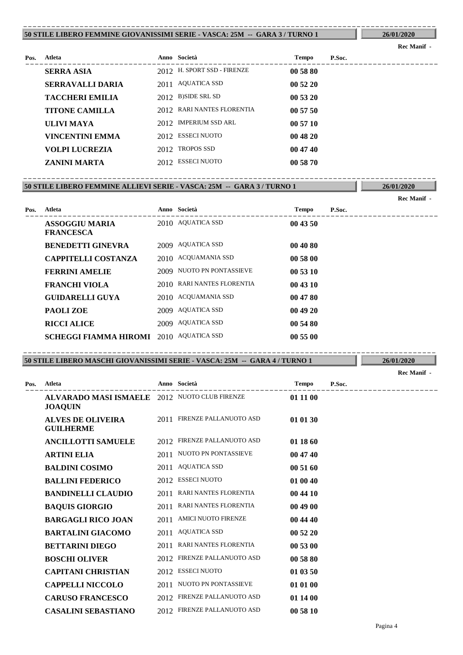#### **50 STILE LIBERO FEMMINE GIOVANISSIMI SERIE - VASCA: 25M -- GARA 3 / TURNO 1** ----------------------------------------------------------------------------------------

**26/01/2020 Rec Manif -** 

| Pos. | Atleta                 | Anno Società                | <b>Tempo</b> | P.Soc. |
|------|------------------------|-----------------------------|--------------|--------|
|      | <b>SERRA ASIA</b>      | 2012 H. SPORT SSD - FIRENZE | 00 58 80     |        |
|      | SERRAVALLI DARIA       | 2011 AQUATICA SSD           | 005220       |        |
|      | <b>TACCHERI EMILIA</b> | 2012 B)SIDE SRL SD          | 00 53 20     |        |
|      | <b>TITONE CAMILLA</b>  | 2012 RARI NANTES FLORENTIA  | 005750       |        |
|      | ULIVI MAYA             | 2012 IMPERIUM SSD ARL       | 00 57 10     |        |
|      | VINCENTINI EMMA        | 2012 ESSECI NUOTO           | 00 48 20     |        |
|      | <b>VOLPI LUCREZIA</b>  | 2012 TROPOS SSD             | 004740       |        |
|      | ZANINI MARTA           | 2012 ESSECI NUOTO           | 00 58 70     |        |
|      |                        |                             |              |        |

#### **50 STILE LIBERO FEMMINE ALLIEVI SERIE - VASCA: 25M -- GARA 3 / TURNO 1 26/01/2020** ----------------------------------------------------------------------------------------

|      |                                           |                            |          |        | Rec Manif - |
|------|-------------------------------------------|----------------------------|----------|--------|-------------|
| Pos. | Atleta                                    | Anno Società               | Tempo    | P.Soc. |             |
|      | <b>ASSOGGIU MARIA</b><br><b>FRANCESCA</b> | 2010 AQUATICA SSD          | 00 43 50 |        |             |
|      | <b>BENEDETTI GINEVRA</b>                  | 2009 AQUATICA SSD          | 00 40 80 |        |             |
|      | <b>CAPPITELLI COSTANZA</b>                | 2010 ACQUAMANIA SSD        | 00 58 00 |        |             |
|      | <b>FERRINI AMELIE</b>                     | 2009 NUOTO PN PONTASSIEVE  | 00 53 10 |        |             |
|      | <b>FRANCHI VIOLA</b>                      | 2010 RARI NANTES FLORENTIA | 00 43 10 |        |             |
|      | <b>GUIDARELLI GUYA</b>                    | 2010 ACQUAMANIA SSD        | 00 47 80 |        |             |
|      | <b>PAOLIZOE</b>                           | 2009 AQUATICA SSD          | 00 49 20 |        |             |
|      | <b>RICCI ALICE</b>                        | 2009 AQUATICA SSD          | 00 54 80 |        |             |
|      | SCHEGGI FIAMMA HIROMI 2010 AQUATICA SSD   |                            | 00 55 00 |        |             |

**50 STILE LIBERO MASCHI GIOVANISSIMI SERIE - VASCA: 25M -- GARA 4 / TURNO 1** ----------------------------------------------------------------------------------------

**26/01/2020 Rec Manif -** 

| Pos. | Atleta                                                          |      | Anno Società                 | <b>Tempo</b> | P.Soc. |
|------|-----------------------------------------------------------------|------|------------------------------|--------------|--------|
|      | ALVARADO MASI ISMAELE 2012 NUOTO CLUB FIRENZE<br><b>JOAQUIN</b> |      |                              | 01 11 00     |        |
|      | <b>ALVES DE OLIVEIRA</b><br><b>GUILHERME</b>                    |      | 2011 FIRENZE PALLANUOTO ASD  | 01 01 30     |        |
|      | <b>ANCILLOTTI SAMUELE</b>                                       |      | 2012 FIRENZE PALLANUOTO ASD  | 01 18 60     |        |
|      | <b>ARTINI ELIA</b>                                              |      | 2011 NUOTO PN PONTASSIEVE    | 00 47 40     |        |
|      | <b>BALDINI COSIMO</b>                                           |      | 2011 AQUATICA SSD            | 00 51 60     |        |
|      | <b>BALLINI FEDERICO</b>                                         |      | 2012 ESSECI NUOTO            | 01 00 40     |        |
|      | <b>BANDINELLI CLAUDIO</b>                                       | 2011 | <b>RARI NANTES FLORENTIA</b> | 00 44 10     |        |
|      | <b>BAQUIS GIORGIO</b>                                           | 2011 | RARI NANTES FLORENTIA        | 00 49 00     |        |
|      | <b>BARGAGLI RICO JOAN</b>                                       | 2011 | <b>AMICI NUOTO FIRENZE</b>   | 00 44 40     |        |
|      | <b>BARTALINI GIACOMO</b>                                        | 2011 | <b>AQUATICA SSD</b>          | 00 52 20     |        |
|      | <b>BETTARINI DIEGO</b>                                          | 2011 | <b>RARI NANTES FLORENTIA</b> | 00 53 00     |        |
|      | <b>BOSCHI OLIVER</b>                                            |      | 2012 FIRENZE PALLANUOTO ASD  | 00 58 80     |        |
|      | <b>CAPITANI CHRISTIAN</b>                                       |      | 2012 ESSECI NUOTO            | 01 03 50     |        |
|      | <b>CAPPELLI NICCOLO</b>                                         |      | 2011 NUOTO PN PONTASSIEVE    | 01 01 00     |        |
|      | <b>CARUSO FRANCESCO</b>                                         |      | 2012 FIRENZE PALLANUOTO ASD  | 01 14 00     |        |
|      | <b>CASALINI SEBASTIANO</b>                                      |      | 2012 FIRENZE PALLANUOTO ASD  | 00 58 10     |        |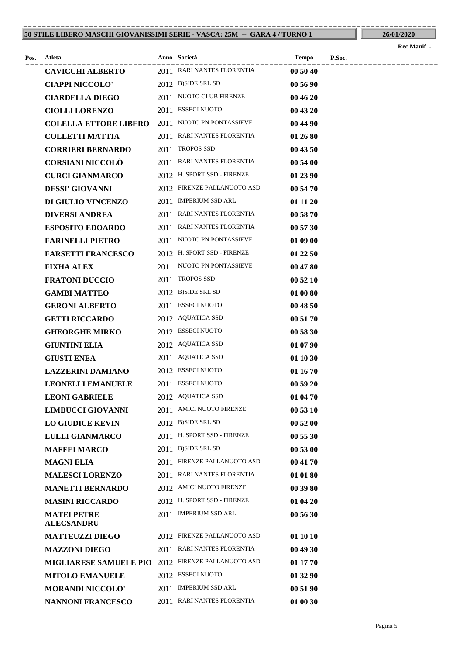#### **50 STILE LIBERO MASCHI GIOVANISSIMI SERIE - VASCA: 25M -- GARA 4 / TURNO 1** ----------------------------------------------------------------------------------------

|      |                                         |                             |          |        | Rec Manif - |
|------|-----------------------------------------|-----------------------------|----------|--------|-------------|
| Pos. | Atleta                                  | Anno Società                | Tempo    | P.Soc. |             |
|      | <b>CAVICCHI ALBERTO</b>                 | 2011 RARI NANTES FLORENTIA  | 00 50 40 |        |             |
|      | <b>CIAPPI NICCOLO'</b>                  | 2012 B)SIDE SRL SD          | 00 56 90 |        |             |
|      | <b>CIARDELLA DIEGO</b>                  | 2011 NUOTO CLUB FIRENZE     | 00 46 20 |        |             |
|      | <b>CIOLLI LORENZO</b>                   | 2011 ESSECI NUOTO           | 00 43 20 |        |             |
|      | <b>COLELLA ETTORE LIBERO</b>            | 2011 NUOTO PN PONTASSIEVE   | 00 44 90 |        |             |
|      | <b>COLLETTI MATTIA</b>                  | 2011 RARI NANTES FLORENTIA  | 01 26 80 |        |             |
|      | <b>CORRIERI BERNARDO</b>                | 2011 TROPOS SSD             | 00 43 50 |        |             |
|      | <b>CORSIANI NICCOLÒ</b>                 | 2011 RARI NANTES FLORENTIA  | 00 54 00 |        |             |
|      | <b>CURCI GIANMARCO</b>                  | 2012 H. SPORT SSD - FIRENZE | 01 23 90 |        |             |
|      | <b>DESSI' GIOVANNI</b>                  | 2012 FIRENZE PALLANUOTO ASD | 00 54 70 |        |             |
|      | DI GIULIO VINCENZO                      | 2011 IMPERIUM SSD ARL       | 01 11 20 |        |             |
|      | <b>DIVERSI ANDREA</b>                   | 2011 RARI NANTES FLORENTIA  | 00 58 70 |        |             |
|      | <b>ESPOSITO EDOARDO</b>                 | 2011 RARI NANTES FLORENTIA  | 00 57 30 |        |             |
|      | <b>FARINELLI PIETRO</b>                 | 2011 NUOTO PN PONTASSIEVE   | 01 09 00 |        |             |
|      | <b>FARSETTI FRANCESCO</b>               | 2012 H. SPORT SSD - FIRENZE | 01 22 50 |        |             |
|      | <b>FIXHA ALEX</b>                       | 2011 NUOTO PN PONTASSIEVE   | 00 47 80 |        |             |
|      | <b>FRATONI DUCCIO</b>                   | 2011 TROPOS SSD             | 00 52 10 |        |             |
|      | <b>GAMBI MATTEO</b>                     | 2012 B)SIDE SRL SD          | 01 00 80 |        |             |
|      | <b>GERONI ALBERTO</b>                   | 2011 ESSECI NUOTO           | 00 48 50 |        |             |
|      | <b>GETTI RICCARDO</b>                   | 2012 AQUATICA SSD           | 00 51 70 |        |             |
|      | <b>GHEORGHE MIRKO</b>                   | 2012 ESSECI NUOTO           | 00 58 30 |        |             |
|      | <b>GIUNTINI ELIA</b>                    | 2012 AQUATICA SSD           | 01 07 90 |        |             |
|      | <b>GIUSTI ENEA</b>                      | 2011 AQUATICA SSD           | 01 10 30 |        |             |
|      | <b>LAZZERINI DAMIANO</b>                | 2012 ESSECI NUOTO           | 01 16 70 |        |             |
|      | <b>LEONELLI EMANUELE</b>                | 2011 ESSECI NUOTO           | 00 59 20 |        |             |
|      | <b>LEONI GABRIELE</b>                   | 2012 AQUATICA SSD           | 01 04 70 |        |             |
|      | <b>LIMBUCCI GIOVANNI</b>                | 2011 AMICI NUOTO FIRENZE    | 00 53 10 |        |             |
|      | <b>LO GIUDICE KEVIN</b>                 | 2012 B)SIDE SRL SD          | 00 52 00 |        |             |
|      | <b>LULLI GIANMARCO</b>                  | 2011 H. SPORT SSD - FIRENZE | 00 55 30 |        |             |
|      | <b>MAFFEI MARCO</b>                     | 2011 B)SIDE SRL SD          | 00 53 00 |        |             |
|      | <b>MAGNI ELIA</b>                       | 2011 FIRENZE PALLANUOTO ASD | 00 41 70 |        |             |
|      | <b>MALESCI LORENZO</b>                  | 2011 RARI NANTES FLORENTIA  | 01 01 80 |        |             |
|      | <b>MANETTI BERNARDO</b>                 | 2012 AMICI NUOTO FIRENZE    | 00 39 80 |        |             |
|      | <b>MASINI RICCARDO</b>                  | 2012 H. SPORT SSD - FIRENZE | 01 04 20 |        |             |
|      | <b>MATEI PETRE</b><br><b>ALECSANDRU</b> | 2011 IMPERIUM SSD ARL       | 00 56 30 |        |             |
|      | <b>MATTEUZZI DIEGO</b>                  | 2012 FIRENZE PALLANUOTO ASD | 01 10 10 |        |             |
|      | <b>MAZZONI DIEGO</b>                    | 2011 RARI NANTES FLORENTIA  | 00 49 30 |        |             |
|      | <b>MIGLIARESE SAMUELE PIO</b>           | 2012 FIRENZE PALLANUOTO ASD | 01 17 70 |        |             |
|      | <b>MITOLO EMANUELE</b>                  | 2012 ESSECI NUOTO           | 01 32 90 |        |             |
|      | <b>MORANDI NICCOLO'</b>                 | 2011 IMPERIUM SSD ARL       | 00 51 90 |        |             |
|      | <b>NANNONI FRANCESCO</b>                | 2011 RARI NANTES FLORENTIA  | 01 00 30 |        |             |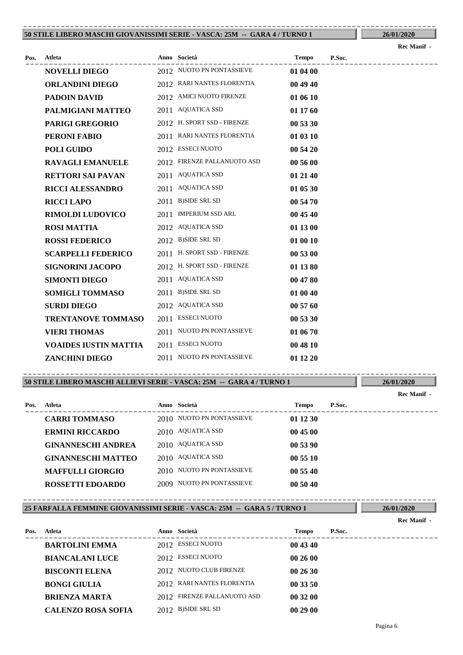#### **50 STILE LIBERO MASCHI GIOVANISSIMI SERIE - VASCA: 25M -- GARA 4 / TURNO 1** ----------------------------------------------------------------------------------------

| Пz |  |
|----|--|
|    |  |

|      |                              |                             |          |        | Rec Manif - |
|------|------------------------------|-----------------------------|----------|--------|-------------|
| Pos. | Atleta                       | Anno Società                | Tempo    | P.Soc. |             |
|      | <b>NOVELLI DIEGO</b>         | 2012 NUOTO PN PONTASSIEVE   | 01 04 00 |        |             |
|      | <b>ORLANDINI DIEGO</b>       | 2012 RARI NANTES FLORENTIA  | 00 49 40 |        |             |
|      | <b>PADOIN DAVID</b>          | 2012 AMICI NUOTO FIRENZE    | 01 06 10 |        |             |
|      | PALMIGIANI MATTEO            | 2011 AQUATICA SSD           | 01 17 60 |        |             |
|      | <b>PARIGI GREGORIO</b>       | 2012 H. SPORT SSD - FIRENZE | 00 53 30 |        |             |
|      | PERONI FABIO                 | 2011 RARI NANTES FLORENTIA  | 01 03 10 |        |             |
|      | <b>POLI GUIDO</b>            | 2012 ESSECI NUOTO           | 00 54 20 |        |             |
|      | <b>RAVAGLI EMANUELE</b>      | 2012 FIRENZE PALLANUOTO ASD | 00 56 00 |        |             |
|      | <b>RETTORI SAI PAVAN</b>     | 2011 AQUATICA SSD           | 01 21 40 |        |             |
|      | <b>RICCI ALESSANDRO</b>      | 2011 AQUATICA SSD           | 01 05 30 |        |             |
|      | <b>RICCI LAPO</b>            | 2011 B)SIDE SRL SD          | 00 54 70 |        |             |
|      | <b>RIMOLDI LUDOVICO</b>      | 2011 IMPERIUM SSD ARL       | 00 45 40 |        |             |
|      | <b>ROSI MATTIA</b>           | 2012 AQUATICA SSD           | 01 13 00 |        |             |
|      | <b>ROSSI FEDERICO</b>        | 2012 B)SIDE SRL SD          | 01 00 10 |        |             |
|      | <b>SCARPELLI FEDERICO</b>    | 2011 H. SPORT SSD - FIRENZE | 00 53 00 |        |             |
|      | <b>SIGNORINI JACOPO</b>      | 2012 H. SPORT SSD - FIRENZE | 01 13 80 |        |             |
|      | <b>SIMONTI DIEGO</b>         | 2011 AQUATICA SSD           | 00 47 80 |        |             |
|      | <b>SOMIGLI TOMMASO</b>       | 2011 B)SIDE SRL SD          | 01 00 40 |        |             |
|      | <b>SURDI DIEGO</b>           | 2012 AQUATICA SSD           | 00 57 60 |        |             |
|      | <b>TRENTANOVE TOMMASO</b>    | 2011 ESSECI NUOTO           | 00 53 30 |        |             |
|      | <b>VIERI THOMAS</b>          | 2011 NUOTO PN PONTASSIEVE   | 01 06 70 |        |             |
|      | <b>VOAIDES IUSTIN MATTIA</b> | 2011 ESSECI NUOTO           | 00 48 10 |        |             |
|      | <b>ZANCHINI DIEGO</b>        | 2011 NUOTO PN PONTASSIEVE   | 01 12 20 |        |             |
|      |                              |                             |          |        |             |

**50 STILE LIBERO MASCHI ALLIEVI SERIE - VASCA: 25M -- GARA 4 / TURNO 1** ----------------------------------------------------------------------------------------

---------------------------------------------------------------------------------------- **Atleta Anno Società Tempo P.Soc. Pos. Rec Manif - CARRI TOMMASO** 2010 NUOTO PN PONTASSIEVE **01 12 30 ERMINI RICCARDO** 2010 AQUATICA SSD **00 45 00 GINANNESCHI ANDREA** 2010 AQUATICA SSD 00 53 90 **GINANNESCHI MATTEO** 2010 AQUATICA SSD **00 55 10 MAFFULLI GIORGIO** 2010 NUOTO PN PONTASSIEVE **00 55 40 ROSSETTI EDOARDO** 2009 NUOTO PN PONTASSIEVE **00 50 40**

**25 FARFALLA FEMMINE GIOVANISSIMI SERIE - VASCA: 25M -- GARA 5 / TURNO 1** ----------------------------------------------------------------------------------------

**26/01/2020 Rec Manif -** 

**26/01/2020**

| Pos. | Atleta                    | Anno Società                | Tempo    | P.Soc. |
|------|---------------------------|-----------------------------|----------|--------|
|      | <b>BARTOLINI EMMA</b>     | 2012 ESSECI NUOTO           | 00 43 40 |        |
|      | <b>BIANCALANI LUCE</b>    | 2012 ESSECI NUOTO           | 002600   |        |
|      | <b>BISCONTI ELENA</b>     | 2012 NUOTO CLUB FIRENZE     | 002630   |        |
|      | <b>BONGI GIULIA</b>       | 2012 RARI NANTES FLORENTIA  | 00 33 50 |        |
|      | <b>BRIENZA MARTA</b>      | 2012 FIRENZE PALLANUOTO ASD | 00 32 00 |        |
|      | <b>CALENZO ROSA SOFIA</b> | 2012 B)SIDE SRL SD          | 00 29 00 |        |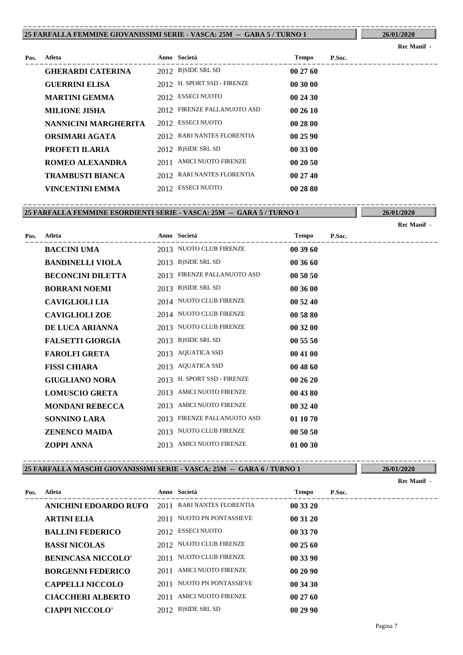#### **25 FARFALLA FEMMINE GIOVANISSIMI SERIE - VASCA: 25M -- GARA 5 / TURNO 1** ----------------------------------------------------------------------------------------

### **26/01/2020 Rec Manif -**

| Pos. | Atleta                   |      | Anno Società                | <b>Tempo</b> | P.Soc. |
|------|--------------------------|------|-----------------------------|--------------|--------|
|      | <b>GHERARDI CATERINA</b> |      | 2012 B)SIDE SRL SD          | 002760       |        |
|      | <b>GUERRINI ELISA</b>    |      | 2012 H. SPORT SSD - FIRENZE | 00 30 00     |        |
|      | <b>MARTINI GEMMA</b>     |      | 2012 ESSECI NUOTO           | 00 24 30     |        |
|      | <b>MILIONE JISHA</b>     |      | 2012 FIRENZE PALLANUOTO ASD | 002610       |        |
|      | NANNICINI MARGHERITA     |      | 2012 ESSECI NUOTO           | 00 28 00     |        |
|      | ORSIMARI AGATA           |      | 2012 RARI NANTES FLORENTIA  | 00 25 90     |        |
|      | PROFETI ILARIA           |      | 2012 B)SIDE SRL SD          | 00 33 00     |        |
|      | ROMEO ALEXANDRA          | 2011 | AMICI NUOTO FIRENZE         | 002050       |        |
|      | <b>TRAMBUSTI BIANCA</b>  |      | 2012 RARI NANTES FLORENTIA  | 002740       |        |
|      | VINCENTINI EMMA          |      | 2012 ESSECI NUOTO           | 00 28 80     |        |

**25 FARFALLA FEMMINE ESORDIENTI SERIE - VASCA: 25M -- GARA 5 / TURNO 1** ----------------------------------------------------------------------------------------

**26/01/2020**

|      |                          |      |                             |          |        | Rec Manif - |
|------|--------------------------|------|-----------------------------|----------|--------|-------------|
| Pos. | <b>Atleta</b>            |      | Anno Società                | Tempo    | P.Soc. |             |
|      | <b>BACCINI UMA</b>       |      | 2013 NUOTO CLUB FIRENZE     | 003960   |        |             |
|      | <b>BANDINELLI VIOLA</b>  |      | 2013 B)SIDE SRL SD          | 00 36 60 |        |             |
|      | <b>BECONCINI DILETTA</b> |      | 2013 FIRENZE PALLANUOTO ASD | 00 50 50 |        |             |
|      | <b>BORRANI NOEMI</b>     |      | 2013 B)SIDE SRL SD          | 00 36 00 |        |             |
|      | <b>CAVIGLIOLI LIA</b>    |      | 2014 NUOTO CLUB FIRENZE     | 00 52 40 |        |             |
|      | <b>CAVIGLIOLI ZOE</b>    |      | 2014 NUOTO CLUB FIRENZE     | 00 58 80 |        |             |
|      | DE LUCA ARIANNA          |      | 2013 NUOTO CLUB FIRENZE     | 00 32 00 |        |             |
|      | <b>FALSETTI GIORGIA</b>  |      | 2013 B)SIDE SRL SD          | 00 55 50 |        |             |
|      | <b>FAROLFI GRETA</b>     |      | 2013 AQUATICA SSD           | 00 41 00 |        |             |
|      | <b>FISSI CHIARA</b>      |      | 2013 AQUATICA SSD           | 00 48 60 |        |             |
|      | <b>GIUGLIANO NORA</b>    |      | 2013 H. SPORT SSD - FIRENZE | 00 26 20 |        |             |
|      | <b>LOMUSCIO GRETA</b>    | 2013 | <b>AMICI NUOTO FIRENZE</b>  | 00 43 80 |        |             |
|      | <b>MONDANI REBECCA</b>   | 2013 | <b>AMICI NUOTO FIRENZE</b>  | 00 32 40 |        |             |
|      | <b>SONNINO LARA</b>      | 2013 | FIRENZE PALLANUOTO ASD      | 01 10 70 |        |             |
|      | <b>ZENENCO MAIDA</b>     |      | 2013 NUOTO CLUB FIRENZE     | 00 50 50 |        |             |
|      | <b>ZOPPI ANNA</b>        |      | 2013 AMICI NUOTO FIRENZE    | 01 00 30 |        |             |

#### **25 FARFALLA MASCHI GIOVANISSIMI SERIE - VASCA: 25M -- GARA 6 / TURNO 1** ----------------------------------------------------------------------------------------

|      |                           |      |                            |          |        | Rec Manif - |
|------|---------------------------|------|----------------------------|----------|--------|-------------|
| Pos. | Atleta                    |      | Anno Società               | Tempo    | P.Soc. |             |
|      | ANICHINI EDOARDO RUFO     |      | 2011 RARI NANTES FLORENTIA | 00 33 20 |        |             |
|      | <b>ARTINI ELIA</b>        | 2011 | NUOTO PN PONTASSIEVE       | 00 31 20 |        |             |
|      | <b>BALLINI FEDERICO</b>   |      | 2012 ESSECI NUOTO          | 00 33 70 |        |             |
|      | <b>BASSI NICOLAS</b>      |      | 2012 NUOTO CLUB FIRENZE    | 00 25 60 |        |             |
|      | <b>BENINCASA NICCOLO'</b> |      | 2011 NUOTO CLUB FIRENZE    | 00 33 90 |        |             |
|      | <b>BORGENNI FEDERICO</b>  | 2011 | AMICI NUOTO FIRENZE        | 002090   |        |             |
|      | <b>CAPPELLI NICCOLO</b>   |      | 2011 NUOTO PN PONTASSIEVE  | 00 34 30 |        |             |
|      | <b>CIACCHERI ALBERTO</b>  |      | 2011 AMICI NUOTO FIRENZE   | 002760   |        |             |
|      | <b>CIAPPI NICCOLO'</b>    |      | 2012 B)SIDE SRL SD         | 002990   |        |             |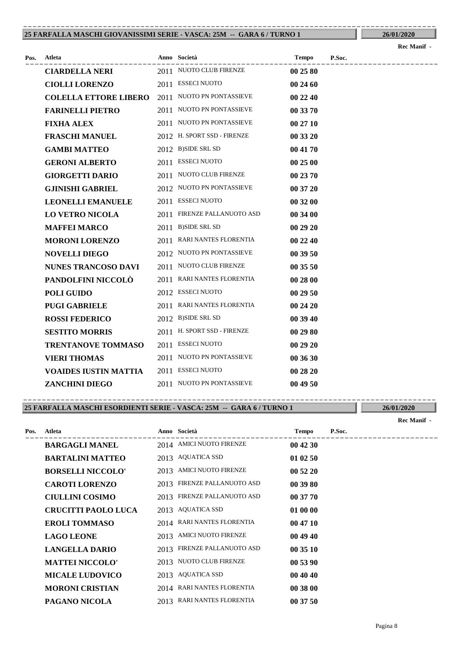#### **25 FARFALLA MASCHI GIOVANISSIMI SERIE - VASCA: 25M -- GARA 6 / TURNO 1** ----------------------------------------------------------------------------------------

|      |                              |                             |          |        | <b>Rec Manif -</b> |
|------|------------------------------|-----------------------------|----------|--------|--------------------|
| Pos. | Atleta                       | Anno Società                | Tempo    | P.Soc. |                    |
|      | <b>CIARDELLA NERI</b>        | 2011 NUOTO CLUB FIRENZE     | 00 25 80 |        |                    |
|      | <b>CIOLLI LORENZO</b>        | 2011 ESSECI NUOTO           | 00 24 60 |        |                    |
|      | <b>COLELLA ETTORE LIBERO</b> | 2011 NUOTO PN PONTASSIEVE   | 00 22 40 |        |                    |
|      | <b>FARINELLI PIETRO</b>      | 2011 NUOTO PN PONTASSIEVE   | 00 33 70 |        |                    |
|      | <b>FIXHA ALEX</b>            | 2011 NUOTO PN PONTASSIEVE   | 00 27 10 |        |                    |
|      | <b>FRASCHI MANUEL</b>        | 2012 H. SPORT SSD - FIRENZE | 00 33 20 |        |                    |
|      | <b>GAMBI MATTEO</b>          | 2012 B)SIDE SRL SD          | 00 41 70 |        |                    |
|      | <b>GERONI ALBERTO</b>        | 2011 ESSECI NUOTO           | 00 25 00 |        |                    |
|      | <b>GIORGETTI DARIO</b>       | 2011 NUOTO CLUB FIRENZE     | 00 23 70 |        |                    |
|      | <b>GJINISHI GABRIEL</b>      | 2012 NUOTO PN PONTASSIEVE   | 00 37 20 |        |                    |
|      | <b>LEONELLI EMANUELE</b>     | 2011 ESSECI NUOTO           | 00 32 00 |        |                    |
|      | <b>LO VETRO NICOLA</b>       | 2011 FIRENZE PALLANUOTO ASD | 00 34 00 |        |                    |
|      | <b>MAFFEI MARCO</b>          | 2011 B)SIDE SRL SD          | 00 29 20 |        |                    |
|      | <b>MORONI LORENZO</b>        | 2011 RARI NANTES FLORENTIA  | 00 22 40 |        |                    |
|      | <b>NOVELLI DIEGO</b>         | 2012 NUOTO PN PONTASSIEVE   | 00 39 50 |        |                    |
|      | <b>NUNES TRANCOSO DAVI</b>   | 2011 NUOTO CLUB FIRENZE     | 00 35 50 |        |                    |
|      | PANDOLFINI NICCOLÒ           | 2011 RARI NANTES FLORENTIA  | 00 28 00 |        |                    |
|      | <b>POLI GUIDO</b>            | 2012 ESSECI NUOTO           | 00 29 50 |        |                    |
|      | <b>PUGI GABRIELE</b>         | 2011 RARI NANTES FLORENTIA  | 00 24 20 |        |                    |
|      | <b>ROSSI FEDERICO</b>        | 2012 B)SIDE SRL SD          | 00 39 40 |        |                    |
|      | <b>SESTITO MORRIS</b>        | 2011 H. SPORT SSD - FIRENZE | 00 29 80 |        |                    |
|      | <b>TRENTANOVE TOMMASO</b>    | 2011 ESSECI NUOTO           | 00 29 20 |        |                    |
|      | <b>VIERI THOMAS</b>          | 2011 NUOTO PN PONTASSIEVE   | 00 36 30 |        |                    |
|      | <b>VOAIDES IUSTIN MATTIA</b> | 2011 ESSECI NUOTO           | 00 28 20 |        |                    |
|      | <b>ZANCHINI DIEGO</b>        | 2011 NUOTO PN PONTASSIEVE   | 00 49 50 |        |                    |

#### **25 FARFALLA MASCHI ESORDIENTI SERIE - VASCA: 25M -- GARA 6 / TURNO 1** ----------------------------------------------------------------------------------------

|      |                            |      |                            |              |        | Rec Manif - |
|------|----------------------------|------|----------------------------|--------------|--------|-------------|
| Pos. | Atleta                     |      | Anno Società               | <b>Tempo</b> | P.Soc. |             |
|      | <b>BARGAGLI MANEL</b>      |      | 2014 AMICI NUOTO FIRENZE   | 00 42 30     |        |             |
|      | <b>BARTALINI MATTEO</b>    | 2013 | AQUATICA SSD               | 01 02 50     |        |             |
|      | <b>BORSELLI NICCOLO'</b>   | 2013 | AMICI NUOTO FIRENZE        | 00 52 20     |        |             |
|      | <b>CAROTI LORENZO</b>      | 2013 | FIRENZE PALLANUOTO ASD     | 00 39 80     |        |             |
|      | <b>CIULLINI COSIMO</b>     | 2013 | FIRENZE PALLANUOTO ASD     | 00 37 70     |        |             |
|      | <b>CRUCITTI PAOLO LUCA</b> | 2013 | AQUATICA SSD               | 01 00 00     |        |             |
|      | <b>EROLI TOMMASO</b>       | 2014 | RARI NANTES FLORENTIA      | 00 47 10     |        |             |
|      | <b>LAGO LEONE</b>          | 2013 | <b>AMICI NUOTO FIRENZE</b> | 00 49 40     |        |             |
|      | <b>LANGELLA DARIO</b>      | 2013 | FIRENZE PALLANUOTO ASD     | 00 35 10     |        |             |
|      | <b>MATTEI NICCOLO'</b>     | 2013 | NUOTO CLUB FIRENZE         | 00 53 90     |        |             |
|      | <b>MICALE LUDOVICO</b>     | 2013 | AQUATICA SSD               | 00 40 40     |        |             |
|      | <b>MORONI CRISTIAN</b>     |      | 2014 RARI NANTES FLORENTIA | 00 38 00     |        |             |
|      | PAGANO NICOLA              | 2013 | RARI NANTES FLORENTIA      | 00 37 50     |        |             |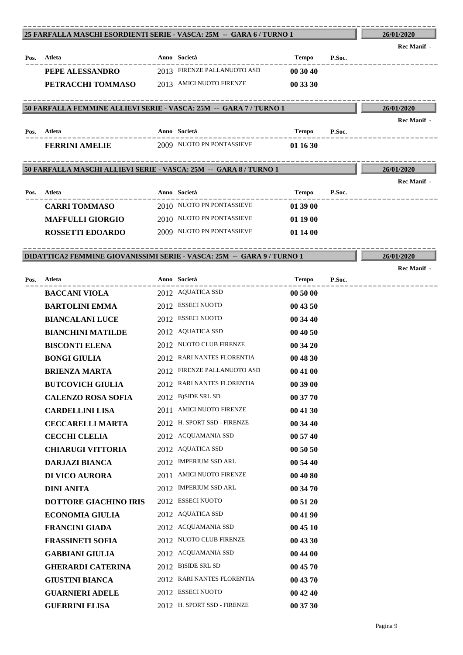### ---------------------------------------------------------------------------------------- **Atleta Anno Società Tempo P.Soc. 25 FARFALLA MASCHI ESORDIENTI SERIE - VASCA: 25M -- GARA 6 / TURNO 1 Pos. 26/01/2020** ---------------------------------------------------------------------------------------- **Rec Manif - PEPE ALESSANDRO** 2013 FIRENZE PALLANUOTO ASD **00 30 40 PETRACCHI TOMMASO** 2013 AMICI NUOTO FIRENZE **00 33 30** ---------------------------------------------------------------------------------------- **Atleta Anno Società Tempo P.Soc. 50 FARFALLA FEMMINE ALLIEVI SERIE - VASCA: 25M -- GARA 7 / TURNO 1 Pos. 26/01/2020** ---------------------------------------------------------------------------------------- **Rec Manif FERRINI AMELIE** 2009 NUOTO PN PONTASSIEVE **01 16 30** ---------------------------------------------------------------------------------------- **Atleta Anno Società Tempo P.Soc. 50 FARFALLA MASCHI ALLIEVI SERIE - VASCA: 25M -- GARA 8 / TURNO 1 Pos. 26/01/2020** ---------------------------------------------------------------------------------------- **Rec Manif - CARRI TOMMASO** 2010 NUOTO PN PONTASSIEVE **01 39 00 MAFFULLI GIORGIO** 2010 NUOTO PN PONTASSIEVE **01 19 00 ROSSETTI EDOARDO** 2009 NUOTO PN PONTASSIEVE **01 14 00** ---------------------------------------------------------------------------------------- **Atleta Anno Società Tempo P.Soc. DIDATTICA2 FEMMINE GIOVANISSIMI SERIE - VASCA: 25M -- GARA 9 / TURNO 1 Pos. 26/01/2020** ---------------------------------------------------------------------------------------- **Rec Manif BACCANI VIOLA** 2012 AQUATICA SSD 00 50 00 **BARTOLINI EMMA** 2012 ESSECI NUOTO **00 43 50 BIANCALANI LUCE** 2012 ESSECI NUOTO **00 34 40 BIANCHINI MATILDE** 2012 AQUATICA SSD **00 40 50 BISCONTI ELENA** 2012 NUOTO CLUB FIRENZE **00 34 20 BONGI GIULIA** 2012 RARI NANTES FLORENTIA **00 48 30 BRIENZA MARTA** 2012 FIRENZE PALLANUOTO ASD **00 41 00 BUTCOVICH GIULIA** 2012 RARI NANTES FLORENTIA **00 39 00 CALENZO ROSA SOFIA** 2012 B)SIDE SRL SD **00 37 70 CARDELLINI LISA** 2011 AMICI NUOTO FIRENZE **00 41 30 CECCARELLI MARTA** 2012 H. SPORT SSD - FIRENZE **00 34 40 CECCHI CLELIA** 2012 ACQUAMANIA SSD **00 57 40 CHIARUGI VITTORIA** 2012 AQUATICA SSD **00 50 50 DARJAZI BIANCA** 2012 IMPERIUM SSD ARL **00 54 40 DI VICO AURORA** 2011 AMICI NUOTO FIRENZE **00 40 80 DINI ANITA** 2012 IMPERIUM SSD ARL **00 34 70 DOTTORE GIACHINO IRIS** 2012 ESSECI NUOTO **00 51 20 ECONOMIA GIULIA** 2012 AQUATICA SSD **00 41 90 FRANCINI GIADA** 2012 ACQUAMANIA SSD **00 45 10 FRASSINETI SOFIA** 2012 NUOTO CLUB FIRENZE **00 43 30 GABBIANI GIULIA** 2012 ACQUAMANIA SSD **00 44 00 GHERARDI CATERINA** 2012 B)SIDE SRL SD 00 45 70 **GIUSTINI BIANCA** 2012 RARI NANTES FLORENTIA **00 43 70 GUARNIERI ADELE** 2012 ESSECI NUOTO **00 42 40 GUERRINI ELISA** 2012 H. SPORT SSD - FIRENZE **00 37 30**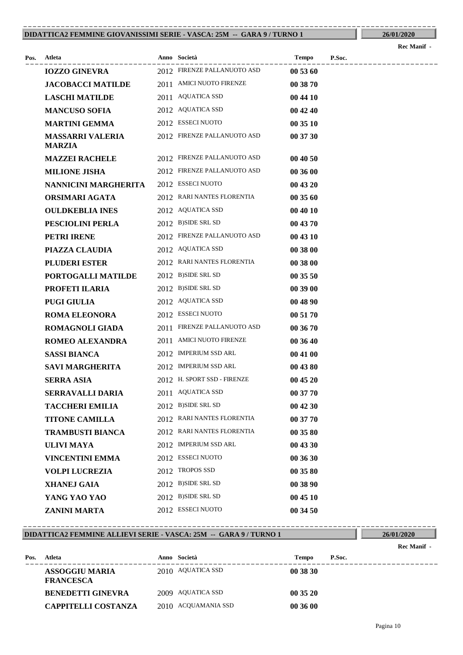#### **DIDATTICA2 FEMMINE GIOVANISSIMI SERIE - VASCA: 25M -- GARA 9 / TURNO 1** ----------------------------------------------------------------------------------------

|      |                                          |                             |          |        | Rec Manii - |
|------|------------------------------------------|-----------------------------|----------|--------|-------------|
| Pos. | Atleta                                   | Anno Società                | Tempo    | P.Soc. |             |
|      | <b>IOZZO GINEVRA</b>                     | 2012 FIRENZE PALLANUOTO ASD | 00 53 60 |        |             |
|      | <b>JACOBACCI MATILDE</b>                 | 2011 AMICI NUOTO FIRENZE    | 00 38 70 |        |             |
|      | <b>LASCHI MATILDE</b>                    | 2011 AQUATICA SSD           | 00 44 10 |        |             |
|      | <b>MANCUSO SOFIA</b>                     | 2012 AQUATICA SSD           | 00 42 40 |        |             |
|      | <b>MARTINI GEMMA</b>                     | 2012 ESSECI NUOTO           | 00 35 10 |        |             |
|      | <b>MASSARRI VALERIA</b><br><b>MARZIA</b> | 2012 FIRENZE PALLANUOTO ASD | 00 37 30 |        |             |
|      | <b>MAZZEI RACHELE</b>                    | 2012 FIRENZE PALLANUOTO ASD | 00 40 50 |        |             |
|      | <b>MILIONE JISHA</b>                     | 2012 FIRENZE PALLANUOTO ASD | 00 36 00 |        |             |
|      | NANNICINI MARGHERITA                     | 2012 ESSECI NUOTO           | 00 43 20 |        |             |
|      | ORSIMARI AGATA                           | 2012 RARI NANTES FLORENTIA  | 00 35 60 |        |             |
|      | <b>OULDKEBLIA INES</b>                   | 2012 AQUATICA SSD           | 00 40 10 |        |             |
|      | PESCIOLINI PERLA                         | 2012 B)SIDE SRL SD          | 00 43 70 |        |             |
|      | PETRI IRENE                              | 2012 FIRENZE PALLANUOTO ASD | 00 43 10 |        |             |
|      | PIAZZA CLAUDIA                           | 2012 AQUATICA SSD           | 00 38 00 |        |             |
|      | <b>PLUDERI ESTER</b>                     | 2012 RARI NANTES FLORENTIA  | 00 38 00 |        |             |
|      | PORTOGALLI MATILDE                       | 2012 B)SIDE SRL SD          | 00 35 50 |        |             |
|      | PROFETI ILARIA                           | 2012 B)SIDE SRL SD          | 00 39 00 |        |             |
|      | <b>PUGI GIULIA</b>                       | 2012 AQUATICA SSD           | 00 48 90 |        |             |
|      | <b>ROMA ELEONORA</b>                     | 2012 ESSECI NUOTO           | 00 51 70 |        |             |
|      | <b>ROMAGNOLI GIADA</b>                   | 2011 FIRENZE PALLANUOTO ASD | 00 36 70 |        |             |
|      | <b>ROMEO ALEXANDRA</b>                   | 2011 AMICI NUOTO FIRENZE    | 00 36 40 |        |             |
|      | <b>SASSI BIANCA</b>                      | 2012 IMPERIUM SSD ARL       | 00 41 00 |        |             |
|      | <b>SAVI MARGHERITA</b>                   | 2012 IMPERIUM SSD ARL       | 00 43 80 |        |             |
|      | <b>SERRA ASIA</b>                        | 2012 H. SPORT SSD - FIRENZE | 00 45 20 |        |             |
|      | <b>SERRAVALLI DARIA</b>                  | 2011 AQUATICA SSD           | 00 37 70 |        |             |
|      | <b>TACCHERI EMILIA</b>                   | 2012 B)SIDE SRL SD          | 00 42 30 |        |             |
|      | <b>TITONE CAMILLA</b>                    | 2012 RARI NANTES FLORENTIA  | 00 37 70 |        |             |
|      | <b>TRAMBUSTI BIANCA</b>                  | 2012 RARI NANTES FLORENTIA  | 00 35 80 |        |             |
|      | <b>ULIVI MAYA</b>                        | 2012 IMPERIUM SSD ARL       | 00 43 30 |        |             |
|      | <b>VINCENTINI EMMA</b>                   | 2012 ESSECI NUOTO           | 00 36 30 |        |             |
|      | <b>VOLPI LUCREZIA</b>                    | 2012 TROPOS SSD             | 00 35 80 |        |             |
|      | <b>XHANEJ GAIA</b>                       | 2012 B)SIDE SRL SD          | 00 38 90 |        |             |
|      | YANG YAO YAO                             | 2012 B)SIDE SRL SD          | 00 45 10 |        |             |
|      | <b>ZANINI MARTA</b>                      | 2012 ESSECI NUOTO           | 00 34 50 |        |             |

#### **DIDATTICA2 FEMMINE ALLIEVI SERIE - VASCA: 25M -- GARA 9 / TURNO 1** ----------------------------------------------------------------------------------------

**26/01/2020 Rec Manif -** 

| Pos. | Atleta                             | Anno Società        | Tempo    | P.Soc. |
|------|------------------------------------|---------------------|----------|--------|
|      | ASSOGGIU MARIA<br><b>FRANCESCA</b> | 2010 AQUATICA SSD   | 00 38 30 |        |
|      | <b>BENEDETTI GINEVRA</b>           | 2009 AQUATICA SSD   | 003520   |        |
|      | <b>CAPPITELLI COSTANZA</b>         | 2010 ACQUAMANIA SSD | 00 36 00 |        |

### **26/01/2020**  $\mathbf{R}_{\text{eq}} \mathbf{M}_{\text{eq}}$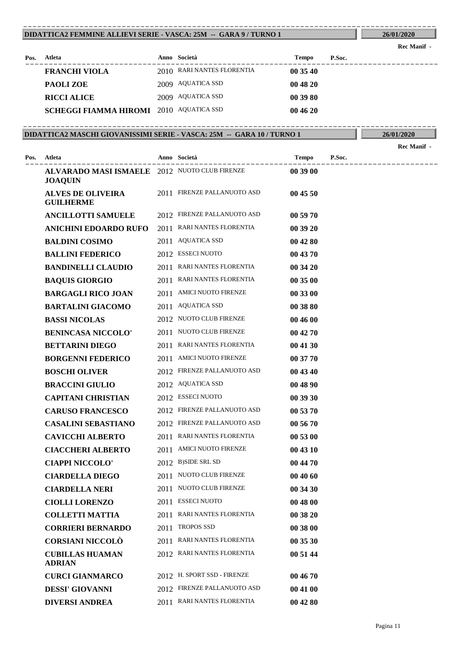#### **DIDATTICA2 FEMMINE ALLIEVI SERIE - VASCA: 25M -- GARA 9 / TURNO 1** ----------------------------------------------------------------------------------------

| Pos. | Atleta                                         | Anno Società               | Tempo    | P.Soc. |  |
|------|------------------------------------------------|----------------------------|----------|--------|--|
|      | <b>FRANCHI VIOLA</b>                           | 2010 RARI NANTES FLORENTIA | 003540   |        |  |
|      | PAOLI ZOE                                      | 2009 AQUATICA SSD          | 00 48 20 |        |  |
|      | <b>RICCI ALICE</b>                             | 2009 AQUATICA SSD          | 00 39 80 |        |  |
|      | <b>SCHEGGI FIAMMA HIROMI</b> 2010 AQUATICA SSD |                            | 004620   |        |  |

#### **DIDATTICA2 MASCHI GIOVANISSIMI SERIE - VASCA: 25M -- GARA 10 / TURNO 1** ----------------------------------------------------------------------------------------

|      |                                                                 |                             |          |        | <b>Rec Manif -</b> |
|------|-----------------------------------------------------------------|-----------------------------|----------|--------|--------------------|
| Pos. | Atleta                                                          | Anno Società                | Tempo    | P.Soc. |                    |
|      | ALVARADO MASI ISMAELE 2012 NUOTO CLUB FIRENZE<br><b>JOAQUIN</b> |                             | 00 39 00 |        |                    |
|      | <b>ALVES DE OLIVEIRA</b><br><b>GUILHERME</b>                    | 2011 FIRENZE PALLANUOTO ASD | 00 45 50 |        |                    |
|      | <b>ANCILLOTTI SAMUELE</b>                                       | 2012 FIRENZE PALLANUOTO ASD | 00 59 70 |        |                    |
|      | <b>ANICHINI EDOARDO RUFO</b>                                    | 2011 RARI NANTES FLORENTIA  | 00 39 20 |        |                    |
|      | <b>BALDINI COSIMO</b>                                           | 2011 AQUATICA SSD           | 00 42 80 |        |                    |
|      | <b>BALLINI FEDERICO</b>                                         | 2012 ESSECI NUOTO           | 00 43 70 |        |                    |
|      | <b>BANDINELLI CLAUDIO</b>                                       | 2011 RARI NANTES FLORENTIA  | 00 34 20 |        |                    |
|      | <b>BAQUIS GIORGIO</b>                                           | 2011 RARI NANTES FLORENTIA  | 00 35 00 |        |                    |
|      | <b>BARGAGLI RICO JOAN</b>                                       | 2011 AMICI NUOTO FIRENZE    | 00 33 00 |        |                    |
|      | <b>BARTALINI GIACOMO</b>                                        | 2011 AQUATICA SSD           | 00 38 80 |        |                    |
|      | <b>BASSI NICOLAS</b>                                            | 2012 NUOTO CLUB FIRENZE     | 00 46 00 |        |                    |
|      | <b>BENINCASA NICCOLO'</b>                                       | 2011 NUOTO CLUB FIRENZE     | 00 42 70 |        |                    |
|      | <b>BETTARINI DIEGO</b>                                          | 2011 RARI NANTES FLORENTIA  | 00 41 30 |        |                    |
|      | <b>BORGENNI FEDERICO</b>                                        | 2011 AMICI NUOTO FIRENZE    | 00 37 70 |        |                    |
|      | <b>BOSCHI OLIVER</b>                                            | 2012 FIRENZE PALLANUOTO ASD | 00 43 40 |        |                    |
|      | <b>BRACCINI GIULIO</b>                                          | 2012 AQUATICA SSD           | 00 48 90 |        |                    |
|      | <b>CAPITANI CHRISTIAN</b>                                       | 2012 ESSECI NUOTO           | 00 39 30 |        |                    |
|      | <b>CARUSO FRANCESCO</b>                                         | 2012 FIRENZE PALLANUOTO ASD | 00 53 70 |        |                    |
|      | <b>CASALINI SEBASTIANO</b>                                      | 2012 FIRENZE PALLANUOTO ASD | 00 56 70 |        |                    |
|      | <b>CAVICCHI ALBERTO</b>                                         | 2011 RARI NANTES FLORENTIA  | 00 53 00 |        |                    |
|      | <b>CIACCHERI ALBERTO</b>                                        | 2011 AMICI NUOTO FIRENZE    | 00 43 10 |        |                    |
|      | <b>CIAPPI NICCOLO'</b>                                          | 2012 B)SIDE SRL SD          | 00 44 70 |        |                    |
|      | <b>CIARDELLA DIEGO</b>                                          | 2011 NUOTO CLUB FIRENZE     | 00 40 60 |        |                    |
|      | <b>CIARDELLA NERI</b>                                           | 2011 NUOTO CLUB FIRENZE     | 00 34 30 |        |                    |
|      | <b>CIOLLI LORENZO</b>                                           | 2011 ESSECI NUOTO           | 00 48 00 |        |                    |
|      | <b>COLLETTI MATTIA</b>                                          | 2011 RARI NANTES FLORENTIA  | 00 38 20 |        |                    |
|      | <b>CORRIERI BERNARDO</b>                                        | 2011 TROPOS SSD             | 00 38 00 |        |                    |
|      | <b>CORSIANI NICCOLÒ</b>                                         | 2011 RARI NANTES FLORENTIA  | 00 35 30 |        |                    |
|      | <b>CUBILLAS HUAMAN</b><br><b>ADRIAN</b>                         | 2012 RARI NANTES FLORENTIA  | 00 51 44 |        |                    |
|      | <b>CURCI GIANMARCO</b>                                          | 2012 H. SPORT SSD - FIRENZE | 00 46 70 |        |                    |
|      | <b>DESSI' GIOVANNI</b>                                          | 2012 FIRENZE PALLANUOTO ASD | 00 41 00 |        |                    |
|      | <b>DIVERSI ANDREA</b>                                           | 2011 RARI NANTES FLORENTIA  | 00 42 80 |        |                    |
|      |                                                                 |                             |          |        |                    |

**Rec Manif -**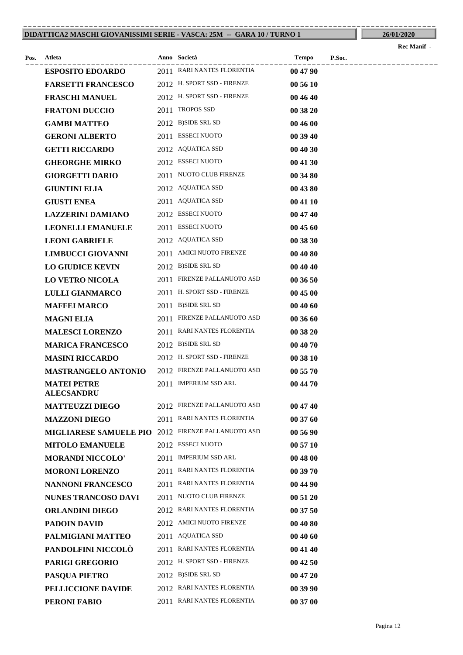#### **DIDATTICA2 MASCHI GIOVANISSIMI SERIE - VASCA: 25M -- GARA 10 / TURNO 1** ----------------------------------------------------------------------------------------

|      |                                         |                             |              |        | <b>Rec Manif</b> - |
|------|-----------------------------------------|-----------------------------|--------------|--------|--------------------|
| Pos. | Atleta                                  | Anno Società                | <b>Tempo</b> | P.Soc. |                    |
|      | <b>ESPOSITO EDOARDO</b>                 | 2011 RARI NANTES FLORENTIA  | 00 47 90     |        |                    |
|      | <b>FARSETTI FRANCESCO</b>               | 2012 H. SPORT SSD - FIRENZE | 00 56 10     |        |                    |
|      | <b>FRASCHI MANUEL</b>                   | 2012 H. SPORT SSD - FIRENZE | 00 46 40     |        |                    |
|      | <b>FRATONI DUCCIO</b>                   | 2011 TROPOS SSD             | 00 38 20     |        |                    |
|      | <b>GAMBI MATTEO</b>                     | 2012 B)SIDE SRL SD          | 00 46 00     |        |                    |
|      | <b>GERONI ALBERTO</b>                   | 2011 ESSECI NUOTO           | 00 39 40     |        |                    |
|      | <b>GETTI RICCARDO</b>                   | 2012 AQUATICA SSD           | 00 40 30     |        |                    |
|      | <b>GHEORGHE MIRKO</b>                   | 2012 ESSECI NUOTO           | 00 41 30     |        |                    |
|      | <b>GIORGETTI DARIO</b>                  | 2011 NUOTO CLUB FIRENZE     | 00 34 80     |        |                    |
|      | <b>GIUNTINI ELIA</b>                    | 2012 AQUATICA SSD           | 00 43 80     |        |                    |
|      | <b>GIUSTI ENEA</b>                      | 2011 AQUATICA SSD           | 00 41 10     |        |                    |
|      | <b>LAZZERINI DAMIANO</b>                | 2012 ESSECI NUOTO           | 00 47 40     |        |                    |
|      | <b>LEONELLI EMANUELE</b>                | 2011 ESSECI NUOTO           | 00 45 60     |        |                    |
|      | <b>LEONI GABRIELE</b>                   | 2012 AQUATICA SSD           | 00 38 30     |        |                    |
|      | <b>LIMBUCCI GIOVANNI</b>                | 2011 AMICI NUOTO FIRENZE    | 00 40 80     |        |                    |
|      | <b>LO GIUDICE KEVIN</b>                 | 2012 B)SIDE SRL SD          | 00 40 40     |        |                    |
|      | <b>LO VETRO NICOLA</b>                  | 2011 FIRENZE PALLANUOTO ASD | 00 36 50     |        |                    |
|      | <b>LULLI GIANMARCO</b>                  | 2011 H. SPORT SSD - FIRENZE | 00 45 00     |        |                    |
|      | <b>MAFFEI MARCO</b>                     | 2011 B)SIDE SRL SD          | 00 40 60     |        |                    |
|      | <b>MAGNI ELIA</b>                       | 2011 FIRENZE PALLANUOTO ASD | 00 36 60     |        |                    |
|      | <b>MALESCI LORENZO</b>                  | 2011 RARI NANTES FLORENTIA  | 00 38 20     |        |                    |
|      | <b>MARICA FRANCESCO</b>                 | 2012 B)SIDE SRL SD          | 00 40 70     |        |                    |
|      | <b>MASINI RICCARDO</b>                  | 2012 H. SPORT SSD - FIRENZE | 00 38 10     |        |                    |
|      | <b>MASTRANGELO ANTONIO</b>              | 2012 FIRENZE PALLANUOTO ASD | 00 55 70     |        |                    |
|      | <b>MATEI PETRE</b><br><b>ALECSANDRU</b> | 2011 IMPERIUM SSD ARL       | 00 44 70     |        |                    |
|      | <b>MATTEUZZI DIEGO</b>                  | 2012 FIRENZE PALLANUOTO ASD | 00 47 40     |        |                    |
|      | <b>MAZZONI DIEGO</b>                    | 2011 RARI NANTES FLORENTIA  | 00 37 60     |        |                    |
|      | <b>MIGLIARESE SAMUELE PIO</b>           | 2012 FIRENZE PALLANUOTO ASD | 00 56 90     |        |                    |
|      | <b>MITOLO EMANUELE</b>                  | 2012 ESSECI NUOTO           | 00 57 10     |        |                    |
|      | <b>MORANDI NICCOLO'</b>                 | 2011 IMPERIUM SSD ARL       | 00 48 00     |        |                    |
|      | <b>MORONI LORENZO</b>                   | 2011 RARI NANTES FLORENTIA  | 00 39 70     |        |                    |
|      | <b>NANNONI FRANCESCO</b>                | 2011 RARI NANTES FLORENTIA  | 00 44 90     |        |                    |
|      | <b>NUNES TRANCOSO DAVI</b>              | 2011 NUOTO CLUB FIRENZE     | 00 51 20     |        |                    |
|      | <b>ORLANDINI DIEGO</b>                  | 2012 RARI NANTES FLORENTIA  | 00 37 50     |        |                    |
|      | <b>PADOIN DAVID</b>                     | 2012 AMICI NUOTO FIRENZE    | 00 40 80     |        |                    |
|      | PALMIGIANI MATTEO                       | 2011 AQUATICA SSD           | 00 40 60     |        |                    |
|      | PANDOLFINI NICCOLÒ                      | 2011 RARI NANTES FLORENTIA  | 00 41 40     |        |                    |
|      | <b>PARIGI GREGORIO</b>                  | 2012 H. SPORT SSD - FIRENZE | 00 42 50     |        |                    |
|      | PASQUA PIETRO                           | 2012 B)SIDE SRL SD          | 00 47 20     |        |                    |
|      | PELLICCIONE DAVIDE                      | 2012 RARI NANTES FLORENTIA  | 00 39 90     |        |                    |

**PERONI FABIO** 2011 RARI NANTES FLORENTIA **00 37 00**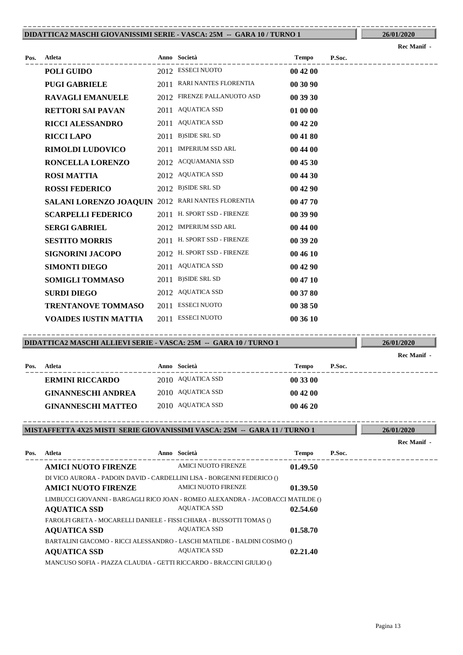#### **DIDATTICA2 MASCHI GIOVANISSIMI SERIE - VASCA: 25M -- GARA 10 / TURNO 1** ----------------------------------------------------------------------------------------

**26/01/2020**

**26/01/2020**

**Rec Manif -** 

| Pos. | Atleta                                            |      | Anno Società                | <b>Tempo</b> | P.Soc. |
|------|---------------------------------------------------|------|-----------------------------|--------------|--------|
|      | POLI GUIDO                                        |      | 2012 ESSECI NUOTO           | 00 42 00     |        |
|      | <b>PUGI GABRIELE</b>                              |      | 2011 RARI NANTES FLORENTIA  | 00 30 90     |        |
|      | <b>RAVAGLI EMANUELE</b>                           |      | 2012 FIRENZE PALLANUOTO ASD | 00 39 30     |        |
|      | <b>RETTORI SAI PAVAN</b>                          | 2011 | <b>AQUATICA SSD</b>         | 01 00 00     |        |
|      | <b>RICCI ALESSANDRO</b>                           |      | 2011 AQUATICA SSD           | 004220       |        |
|      | <b>RICCI LAPO</b>                                 |      | 2011 B)SIDE SRL SD          | 00 41 80     |        |
|      | <b>RIMOLDI LUDOVICO</b>                           |      | 2011 IMPERIUM SSD ARL       | 00 44 00     |        |
|      | RONCELLA LORENZO                                  |      | 2012 ACQUAMANIA SSD         | 00 45 30     |        |
|      | <b>ROSI MATTIA</b>                                |      | 2012 AQUATICA SSD           | 00 44 30     |        |
|      | <b>ROSSI FEDERICO</b>                             |      | 2012 B)SIDE SRL SD          | 00 42 90     |        |
|      | SALANI LORENZO JOAQUIN 2012 RARI NANTES FLORENTIA |      |                             | 00 47 70     |        |
|      | <b>SCARPELLI FEDERICO</b>                         |      | 2011 H. SPORT SSD - FIRENZE | 00 39 90     |        |
|      | <b>SERGI GABRIEL</b>                              |      | 2012 IMPERIUM SSD ARL       | 00 44 00     |        |
|      | <b>SESTITO MORRIS</b>                             |      | 2011 H. SPORT SSD - FIRENZE | 00 39 20     |        |
|      | <b>SIGNORINI JACOPO</b>                           |      | 2012 H. SPORT SSD - FIRENZE | 00 46 10     |        |
|      | <b>SIMONTI DIEGO</b>                              | 2011 | <b>AQUATICA SSD</b>         | 00 42 90     |        |
|      | <b>SOMIGLI TOMMASO</b>                            |      | 2011 B)SIDE SRL SD          | 00 47 10     |        |
|      | <b>SURDI DIEGO</b>                                |      | 2012 AQUATICA SSD           | 00 37 80     |        |
|      | <b>TRENTANOVE TOMMASO</b>                         | 2011 | <b>ESSECI NUOTO</b>         | 00 38 50     |        |
|      | <b>VOAIDES IUSTIN MATTIA</b>                      | 2011 | <b>ESSECI NUOTO</b>         | 00 36 10     |        |
|      |                                                   |      |                             |              |        |

#### **DIDATTICA2 MASCHI ALLIEVI SERIE - VASCA: 25M -- GARA 10 / TURNO 1** ----------------------------------------------------------------------------------------

|      |                           |                   |              |        | Rec Manif - |
|------|---------------------------|-------------------|--------------|--------|-------------|
| Pos. | Atleta                    | Anno Società      | <b>Tempo</b> | P.Soc. |             |
|      | <b>ERMINI RICCARDO</b>    | 2010 AQUATICA SSD | 00 33 00     |        |             |
|      | <b>GINANNESCHI ANDREA</b> | 2010 AQUATICA SSD | 004200       |        |             |
|      | <b>GINANNESCHI MATTEO</b> | 2010 AQUATICA SSD | 004620       |        |             |

#### **MISTAFFETTA 4X25 MISTI SERIE GIOVANISSIMI VASCA: 25M -- GARA 11 / TURNO 1** ----------------------------------------------------------------------------------------

| Pos.                                                                 | Atleta                                                                          | Anno Società               | <b>Tempo</b> | P.Soc. |
|----------------------------------------------------------------------|---------------------------------------------------------------------------------|----------------------------|--------------|--------|
|                                                                      | <b>AMICI NUOTO FIRENZE</b>                                                      | AMICI NUOTO FIRENZE        | 01.49.50     |        |
|                                                                      | DI VICO AURORA - PADOIN DAVID - CARDELLINI LISA - BORGENNI FEDERICO ()          |                            |              |        |
|                                                                      | <b>AMICI NUOTO FIRENZE</b>                                                      | <b>AMICI NUOTO FIRENZE</b> | 01.39.50     |        |
|                                                                      | LIMBUCCI GIOVANNI - BARGAGLI RICO JOAN - ROMEO ALEXANDRA - JACOBACCI MATILDE () |                            |              |        |
|                                                                      | <b>AQUATICA SSD</b>                                                             | <b>AQUATICA SSD</b>        | 02.54.60     |        |
| FAROLFI GRETA - MOCARELLI DANIELE - FISSI CHIARA - BUSSOTTI TOMAS () |                                                                                 |                            |              |        |
|                                                                      | <b>AQUATICA SSD</b>                                                             | <b>AQUATICA SSD</b>        | 01.58.70     |        |
|                                                                      | BARTALINI GIACOMO - RICCI ALESSANDRO - LASCHI MATILDE - BALDINI COSIMO ()       |                            |              |        |
|                                                                      | <b>AQUATICA SSD</b>                                                             | <b>AQUATICA SSD</b>        | 02.21.40     |        |
|                                                                      | MANCUSO SOFIA - PIAZZA CLAUDIA - GETTI RICCARDO - BRACCINI GIULIO ()            |                            |              |        |

**26/01/2020**

**Rec Manif -**